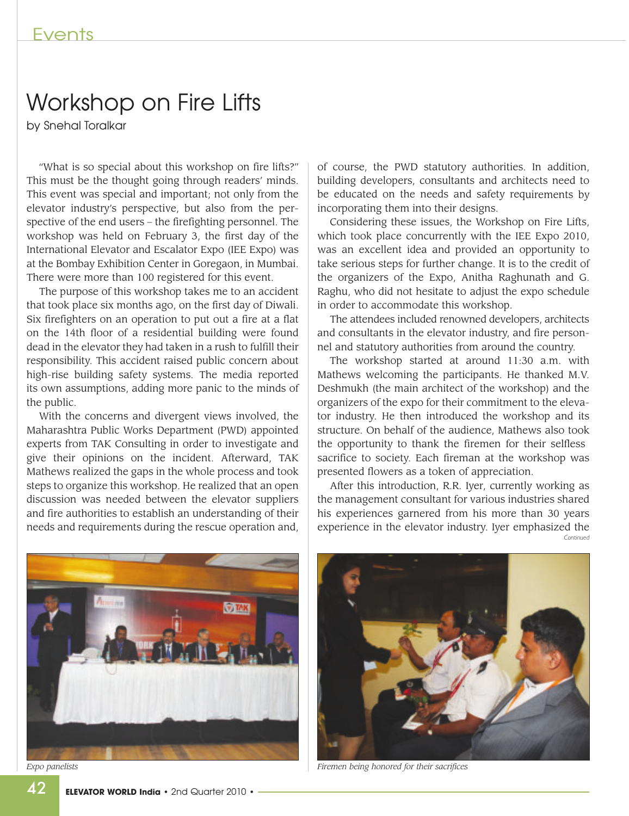## Workshop on Fire Lifts

by Snehal Toralkar

"What is so special about this workshop on fire lifts?" This must be the thought going through readers' minds. This event was special and important; not only from the elevator industry's perspective, but also from the perspective of the end users – the firefighting personnel. The workshop was held on February 3, the first day of the International Elevator and Escalator Expo (IEE Expo) was at the Bombay Exhibition Center in Goregaon, in Mumbai. There were more than 100 registered for this event.

The purpose of this workshop takes me to an accident that took place six months ago, on the first day of Diwali. Six firefighters on an operation to put out a fire at a flat on the 14th floor of a residential building were found dead in the elevator they had taken in a rush to fulfill their responsibility. This accident raised public concern about high-rise building safety systems. The media reported its own assumptions, adding more panic to the minds of the public.

With the concerns and divergent views involved, the Maharashtra Public Works Department (PWD) appointed experts from TAK Consulting in order to investigate and give their opinions on the incident. Afterward, TAK Mathews realized the gaps in the whole process and took steps to organize this workshop. He realized that an open discussion was needed between the elevator suppliers and fire authorities to establish an understanding of their needs and requirements during the rescue operation and, of course, the PWD statutory authorities. In addition, building developers, consultants and architects need to be educated on the needs and safety requirements by incorporating them into their designs.

Considering these issues, the Workshop on Fire Lifts, which took place concurrently with the IEE Expo 2010, was an excellent idea and provided an opportunity to take serious steps for further change. It is to the credit of the organizers of the Expo, Anitha Raghunath and G. Raghu, who did not hesitate to adjust the expo schedule in order to accommodate this workshop.

The attendees included renowned developers, architects and consultants in the elevator industry, and fire personnel and statutory authorities from around the country.

The workshop started at around 11:30 a.m. with Mathews welcoming the participants. He thanked M.V. Deshmukh (the main architect of the workshop) and the organizers of the expo for their commitment to the elevator industry. He then introduced the workshop and its structure. On behalf of the audience, Mathews also took the opportunity to thank the firemen for their selfless sacrifice to society. Each fireman at the workshop was presented flowers as a token of appreciation.

After this introduction, R.R. Iyer, currently working as the management consultant for various industries shared his experiences garnered from his more than 30 years experience in the elevator industry. Iyer emphasized the *Continued*





*Expo panelists Firemen being honored for their sacrifices*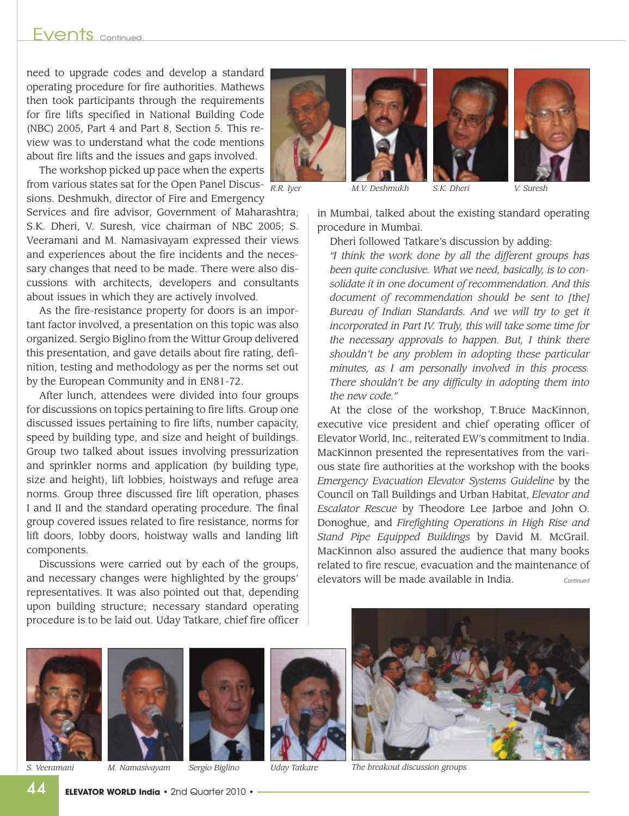## Fvents <sub>continued</sub>

need to upgrade codes and develop a standard operating procedure for fire authorities. Mathews then took participants through the requirements for fire lifts specified in National Building Code (NBC) 2005, Part 4 and Part 8, Section 5. This review was to understand what the code mentions about fire lifts and the issues and gaps involved.

The workshop picked up pace when the experts from various states sat for the Open Panel Discus- $\frac{1}{RR}$  Net sions. Deshmukh, director of Fire and Emergency

Services and fire advisor, Government of Maharashtra; S.K. Dheri, V. Suresh, vice chairman of NBC 2005; S. Veeramani and M. Namasivayam expressed their views and experiences about the fire incidents and the necessary changes that need to be made. There were also discussions with architects, developers and consultants about issues in which they are actively involved.

As the fire-resistance property for doors is an important factor involved, a presentation on this topic was also organized. Sergio Biglino from the Wittur Group delivered this presentation, and gave details about fire rating, definition, testing and methodology as per the norms set out by the European Community and in EN81-72.

After lunch, attendees were divided into four groups for discussions on topics pertaining to fire lifts. Group one discussed issues pertaining to fire lifts, number capacity, speed by building type, and size and height of buildings. Group two talked about issues involving pressurization and sprinkler norms and application (by building type, size and height), lift lobbies, hoistways and refuge area norms. Group three discussed fire lift operation, phases I and II and the standard operating procedure. The final group covered issues related to fire resistance, norms for lift doors, lobby doors, hoistway walls and landing lift components.

Discussions were carried out by each of the groups, and necessary changes were highlighted by the groups' representatives. It was also pointed out that, depending upon building structure; necessary standard operating procedure is to be laid out. Uday Tatkare, chief fire officer







*R.R. Iyer M.V. Deshmukh S.K. Dheri V. Suresh*

in Mumbai, talked about the existing standard operating procedure in Mumbai.

Dheri followed Tatkare's discussion by adding:

*"I think the work done by all the different groups has been quite conclusive. What we need, basically, is to consolidate it in one document of recommendation. And this document of recommendation should be sent to [the] Bureau of Indian Standards. And we will try to get it incorporated in Part IV. Truly, this will take some time for the necessary approvals to happen. But, I think there shouldn't be any problem in adopting these particular minutes, as I am personally involved in this process. There shouldn't be any difficulty in adopting them into the new code."*

At the close of the workshop, T.Bruce MacKinnon, executive vice president and chief operating officer of Elevator World, Inc., reiterated EW's commitment to India. MacKinnon presented the representatives from the various state fire authorities at the workshop with the books *Emergency Evacuation Elevator Systems Guideline* by the Council on Tall Buildings and Urban Habitat, *Elevator and Escalator Rescue* by Theodore Lee Jarboe and John O. Donoghue, and *Firefighting Operations in High Rise and Stand Pipe Equipped Buildings* by David M. McGrail. MacKinnon also assured the audience that many books related to fire rescue, evacuation and the maintenance of elevators will be made available in India. *Continued*









*S. Veeramani M. Namasivayam Sergio Biglino Uday Tatkare The breakout discussion groups*